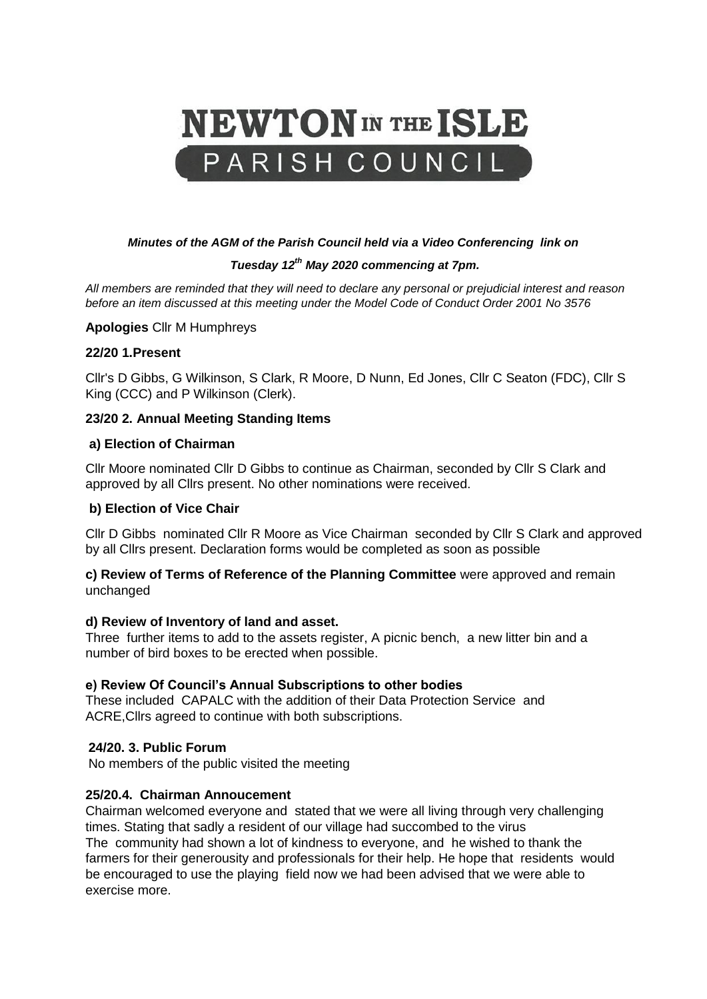# **NEWTON** IN THE ISLE PARISH COUNCIL

## *Minutes of the AGM of the Parish Council held via a Video Conferencing link on*

## *Tuesday 12th May 2020 commencing at 7pm.*

*All members are reminded that they will need to declare any personal or prejudicial interest and reason before an item discussed at this meeting under the Model Code of Conduct Order 2001 No 3576*

**Apologies** Cllr M Humphreys

## **22/20 1.Present**

Cllr's D Gibbs, G Wilkinson, S Clark, R Moore, D Nunn, Ed Jones, Cllr C Seaton (FDC), Cllr S King (CCC) and P Wilkinson (Clerk).

## **23/20 2. Annual Meeting Standing Items**

## **a) Election of Chairman**

Cllr Moore nominated Cllr D Gibbs to continue as Chairman, seconded by Cllr S Clark and approved by all Cllrs present. No other nominations were received.

## **b) Election of Vice Chair**

Cllr D Gibbs nominated Cllr R Moore as Vice Chairman seconded by Cllr S Clark and approved by all Cllrs present. Declaration forms would be completed as soon as possible

**c) Review of Terms of Reference of the Planning Committee** were approved and remain unchanged

#### **d) Review of Inventory of land and asset.**

Three further items to add to the assets register, A picnic bench, a new litter bin and a number of bird boxes to be erected when possible.

## **e) Review Of Council's Annual Subscriptions to other bodies**

These included CAPALC with the addition of their Data Protection Service and ACRE,Cllrs agreed to continue with both subscriptions.

## **24/20. 3. Public Forum**

No members of the public visited the meeting

## **25/20.4. Chairman Annoucement**

Chairman welcomed everyone and stated that we were all living through very challenging times. Stating that sadly a resident of our village had succombed to the virus The community had shown a lot of kindness to everyone, and he wished to thank the farmers for their generousity and professionals for their help. He hope that residents would be encouraged to use the playing field now we had been advised that we were able to exercise more.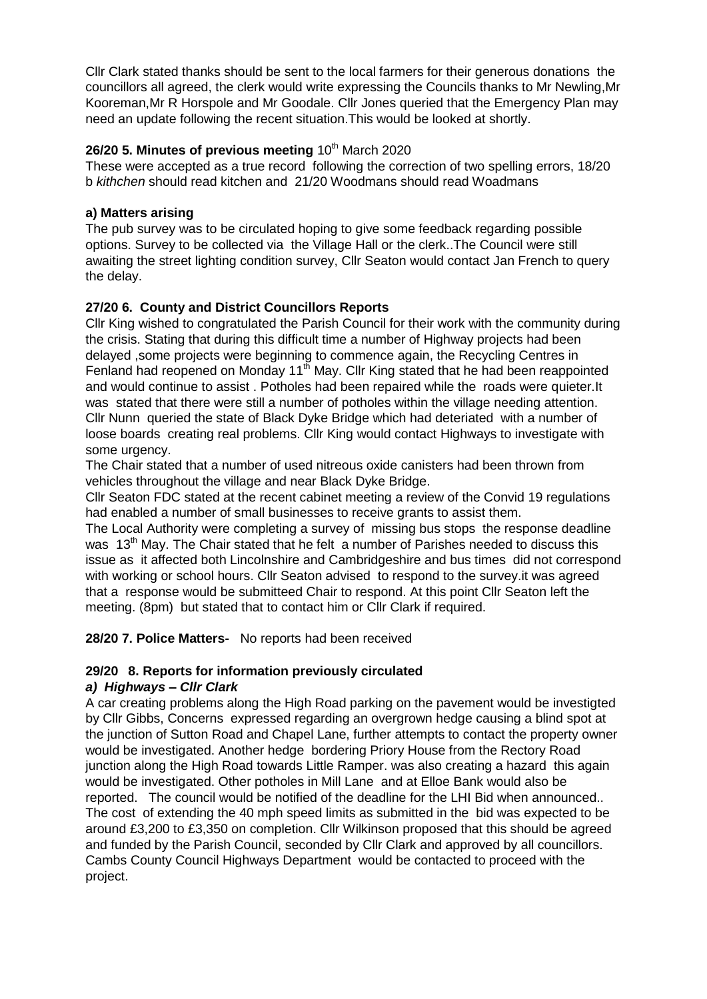Cllr Clark stated thanks should be sent to the local farmers for their generous donations the councillors all agreed, the clerk would write expressing the Councils thanks to Mr Newling,Mr Kooreman,Mr R Horspole and Mr Goodale. Cllr Jones queried that the Emergency Plan may need an update following the recent situation.This would be looked at shortly.

## **26/20 5. Minutes of previous meeting 10th March 2020**

These were accepted as a true record following the correction of two spelling errors, 18/20 b *kithchen* should read kitchen and 21/20 Woodmans should read Woadmans

## **a) Matters arising**

The pub survey was to be circulated hoping to give some feedback regarding possible options. Survey to be collected via the Village Hall or the clerk..The Council were still awaiting the street lighting condition survey, Cllr Seaton would contact Jan French to query the delay.

## **27/20 6. County and District Councillors Reports**

Cllr King wished to congratulated the Parish Council for their work with the community during the crisis. Stating that during this difficult time a number of Highway projects had been delayed ,some projects were beginning to commence again, the Recycling Centres in Fenland had reopened on Monday 11<sup>th</sup> May. Cllr King stated that he had been reappointed and would continue to assist . Potholes had been repaired while the roads were quieter.It was stated that there were still a number of potholes within the village needing attention. Cllr Nunn queried the state of Black Dyke Bridge which had deteriated with a number of loose boards creating real problems. Cllr King would contact Highways to investigate with some urgency.

The Chair stated that a number of used nitreous oxide canisters had been thrown from vehicles throughout the village and near Black Dyke Bridge.

Cllr Seaton FDC stated at the recent cabinet meeting a review of the Convid 19 regulations had enabled a number of small businesses to receive grants to assist them.

The Local Authority were completing a survey of missing bus stops the response deadline was 13<sup>th</sup> May. The Chair stated that he felt a number of Parishes needed to discuss this issue as it affected both Lincolnshire and Cambridgeshire and bus times did not correspond with working or school hours. Cllr Seaton advised to respond to the survey.it was agreed that a response would be submitteed Chair to respond. At this point Cllr Seaton left the meeting. (8pm) but stated that to contact him or Cllr Clark if required.

**28/20 7. Police Matters-** No reports had been received

## **29/20 8. Reports for information previously circulated**

## *a) Highways – Cllr Clark*

A car creating problems along the High Road parking on the pavement would be investigted by Cllr Gibbs, Concerns expressed regarding an overgrown hedge causing a blind spot at the junction of Sutton Road and Chapel Lane, further attempts to contact the property owner would be investigated. Another hedge bordering Priory House from the Rectory Road junction along the High Road towards Little Ramper. was also creating a hazard this again would be investigated. Other potholes in Mill Lane and at Elloe Bank would also be reported. The council would be notified of the deadline for the LHI Bid when announced.. The cost of extending the 40 mph speed limits as submitted in the bid was expected to be around £3,200 to £3,350 on completion. Cllr Wilkinson proposed that this should be agreed and funded by the Parish Council, seconded by Cllr Clark and approved by all councillors. Cambs County Council Highways Department would be contacted to proceed with the project.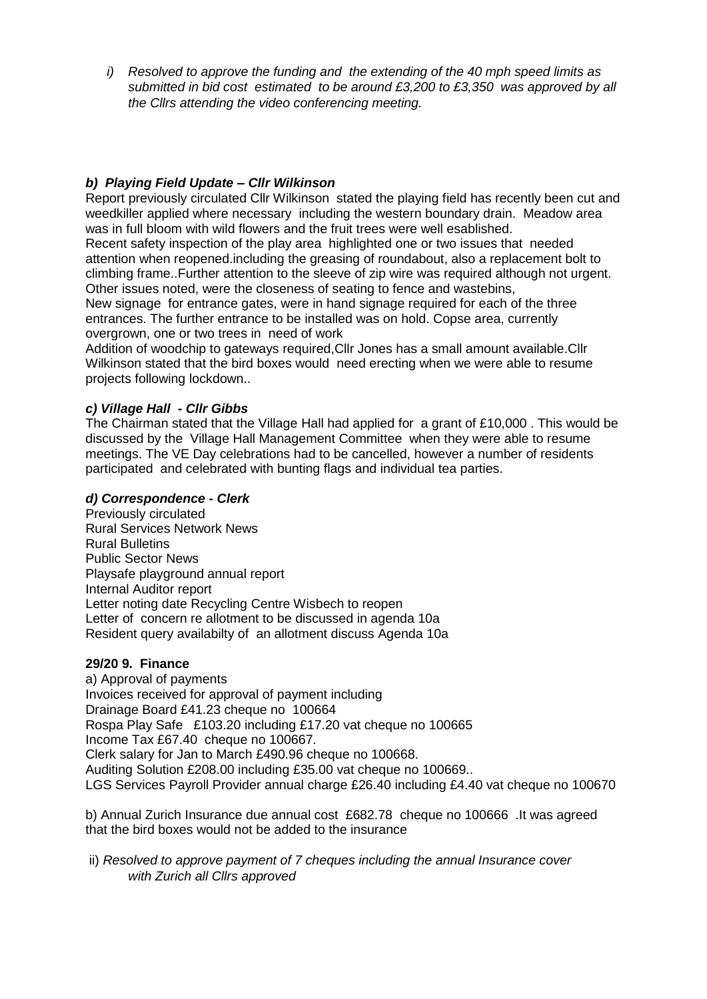*i) Resolved to approve the funding and the extending of the 40 mph speed limits as submitted in bid cost estimated to be around £3,200 to £3,350 was approved by all the Cllrs attending the video conferencing meeting.*

## *b) Playing Field Update – Cllr Wilkinson*

Report previously circulated Cllr Wilkinson stated the playing field has recently been cut and weedkiller applied where necessary including the western boundary drain. Meadow area was in full bloom with wild flowers and the fruit trees were well esablished.

Recent safety inspection of the play area highlighted one or two issues that needed attention when reopened.including the greasing of roundabout, also a replacement bolt to climbing frame..Further attention to the sleeve of zip wire was required although not urgent. Other issues noted, were the closeness of seating to fence and wastebins,

New signage for entrance gates, were in hand signage required for each of the three entrances. The further entrance to be installed was on hold. Copse area, currently overgrown, one or two trees in need of work

Addition of woodchip to gateways required,Cllr Jones has a small amount available.Cllr Wilkinson stated that the bird boxes would need erecting when we were able to resume projects following lockdown..

## *c) Village Hall - Cllr Gibbs*

The Chairman stated that the Village Hall had applied for a grant of £10,000 . This would be discussed by the Village Hall Management Committee when they were able to resume meetings. The VE Day celebrations had to be cancelled, however a number of residents participated and celebrated with bunting flags and individual tea parties.

## *d) Correspondence - Clerk*

Previously circulated Rural Services Network News Rural Bulletins Public Sector News Playsafe playground annual report Internal Auditor report Letter noting date Recycling Centre Wisbech to reopen Letter of concern re allotment to be discussed in agenda 10a Resident query availabilty of an allotment discuss Agenda 10a

## **29/20 9. Finance**

a) Approval of payments Invoices received for approval of payment including Drainage Board £41.23 cheque no 100664 Rospa Play Safe £103.20 including £17.20 vat cheque no 100665 Income Tax £67.40 cheque no 100667. Clerk salary for Jan to March £490.96 cheque no 100668. Auditing Solution £208.00 including £35.00 vat cheque no 100669.. LGS Services Payroll Provider annual charge £26.40 including £4.40 vat cheque no 100670

b) Annual Zurich Insurance due annual cost £682.78 cheque no 100666 .It was agreed that the bird boxes would not be added to the insurance

ii) *Resolved to approve payment of 7 cheques including the annual Insurance cover with Zurich all Cllrs approved*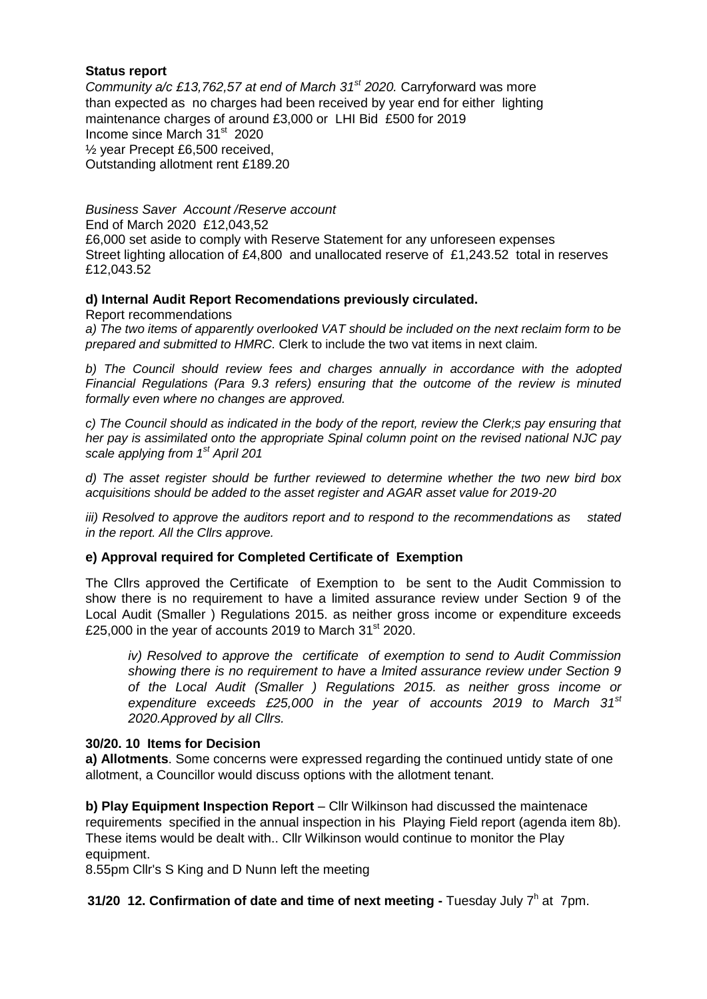## **Status report**

*Community a/c £13,762,57 at end of March 31st 2020.* Carryforward was more than expected as no charges had been received by year end for either lighting maintenance charges of around £3,000 or LHI Bid £500 for 2019 Income since March 31<sup>st</sup> 2020 ½ year Precept £6,500 received, Outstanding allotment rent £189.20

*Business Saver Account /Reserve account*  End of March 2020 £12,043,52 £6,000 set aside to comply with Reserve Statement for any unforeseen expenses Street lighting allocation of £4,800 and unallocated reserve of £1,243.52 total in reserves £12,043.52

## **d) Internal Audit Report Recomendations previously circulated.**

Report recommendations

*a) The two items of apparently overlooked VAT should be included on the next reclaim form to be prepared and submitted to HMRC.* Clerk to include the two vat items in next claim*.*

*b) The Council should review fees and charges annually in accordance with the adopted Financial Regulations (Para 9.3 refers) ensuring that the outcome of the review is minuted formally even where no changes are approved.*

*c) The Council should as indicated in the body of the report, review the Clerk;s pay ensuring that her pay is assimilated onto the appropriate Spinal column point on the revised national NJC pay scale applying from 1st April 201*

*d) The asset register should be further reviewed to determine whether the two new bird box acquisitions should be added to the asset register and AGAR asset value for 2019-20*

*iii) Resolved to approve the auditors report and to respond to the recommendations as stated in the report. All the Cllrs approve.*

#### **e) Approval required for Completed Certificate of Exemption**

The Cllrs approved the Certificate of Exemption to be sent to the Audit Commission to show there is no requirement to have a limited assurance review under Section 9 of the Local Audit (Smaller ) Regulations 2015. as neither gross income or expenditure exceeds £25,000 in the year of accounts 2019 to March  $31<sup>st</sup>$  2020.

*iv) Resolved to approve the certificate of exemption to send to Audit Commission showing there is no requirement to have a lmited assurance review under Section 9 of the Local Audit (Smaller ) Regulations 2015. as neither gross income or expenditure exceeds £25,000 in the year of accounts 2019 to March 31st 2020.Approved by all Cllrs.*

## **30/20. 10 Items for Decision**

**a) Allotments**. Some concerns were expressed regarding the continued untidy state of one allotment, a Councillor would discuss options with the allotment tenant.

**b) Play Equipment Inspection Report** – Cllr Wilkinson had discussed the maintenace requirements specified in the annual inspection in his Playing Field report (agenda item 8b). These items would be dealt with.. Cllr Wilkinson would continue to monitor the Play equipment.

8.55pm Cllr's S King and D Nunn left the meeting

**31/20 12. Confirmation of date and time of next meeting - Tuesday July 7<sup>h</sup> at 7pm.**